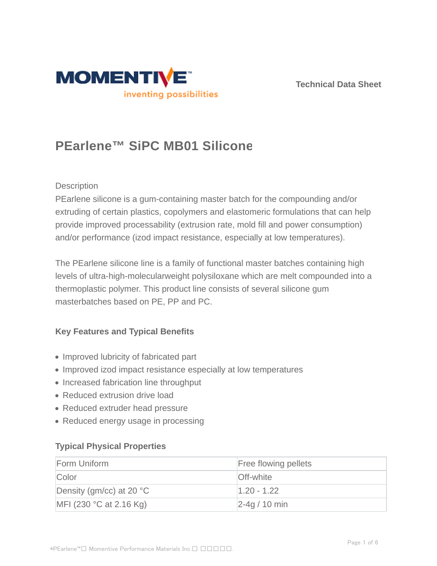



# **PEarlene™ SiPC MB01 Silicone**

#### **Description**

PEarlene silicone is a gum-containing master batch for the compounding and/or extruding of certain plastics, copolymers and elastomeric formulations that can help provide improved processability (extrusion rate, mold fill and power consumption) and/or performance (izod impact resistance, especially at low temperatures).

The PEarlene silicone line is a family of functional master batches containing high levels of ultra-high-molecularweight polysiloxane which are melt compounded into a thermoplastic polymer. This product line consists of several silicone gum masterbatches based on PE, PP and PC.

#### **Key Features and Typical Benefits**

- Improved lubricity of fabricated part
- Improved izod impact resistance especially at low temperatures
- Increased fabrication line throughput
- Reduced extrusion drive load
- Reduced extruder head pressure
- Reduced energy usage in processing

#### **Typical Physical Properties**

| Form Uniform                       | <b>Free flowing pellets</b> |
|------------------------------------|-----------------------------|
| Color                              | <b>Off-white</b>            |
| Density (gm/cc) at 20 $^{\circ}$ C | $1.20 - 1.22$               |
| MFI (230 $^{\circ}$ C at 2.16 Kg)  | $2-4q/10$ min               |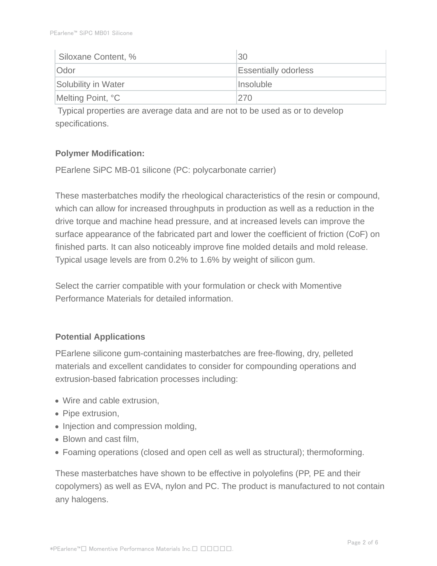| Siloxane Content, % | 30                          |
|---------------------|-----------------------------|
| <b>Odor</b>         | <b>Essentially odorless</b> |
| Solubility in Water | Insoluble                   |
| Melting Point, °C   | 270                         |

 Typical properties are average data and are not to be used as or to develop specifications.

# **Polymer Modification:**

PEarlene SiPC MB-01 silicone (PC: polycarbonate carrier)

These masterbatches modify the rheological characteristics of the resin or compound, which can allow for increased throughputs in production as well as a reduction in the drive torque and machine head pressure, and at increased levels can improve the surface appearance of the fabricated part and lower the coefficient of friction (CoF) on finished parts. It can also noticeably improve fine molded details and mold release. Typical usage levels are from 0.2% to 1.6% by weight of silicon gum.

Select the carrier compatible with your formulation or check with Momentive Performance Materials for detailed information.

#### **Potential Applications**

PEarlene silicone gum-containing masterbatches are free-flowing, dry, pelleted materials and excellent candidates to consider for compounding operations and extrusion-based fabrication processes including:

- Wire and cable extrusion,
- Pipe extrusion,
- Injection and compression molding,
- Blown and cast film.
- Foaming operations (closed and open cell as well as structural); thermoforming.

These masterbatches have shown to be effective in polyolefins (PP, PE and their copolymers) as well as EVA, nylon and PC. The product is manufactured to not contain any halogens.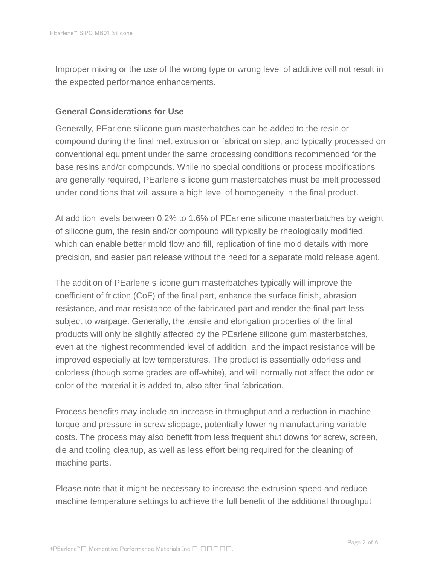Improper mixing or the use of the wrong type or wrong level of additive will not result in the expected performance enhancements.

#### **General Considerations for Use**

Generally, PEarlene silicone gum masterbatches can be added to the resin or compound during the final melt extrusion or fabrication step, and typically processed on conventional equipment under the same processing conditions recommended for the base resins and/or compounds. While no special conditions or process modifications are generally required, PEarlene silicone gum masterbatches must be melt processed under conditions that will assure a high level of homogeneity in the final product.

At addition levels between 0.2% to 1.6% of PEarlene silicone masterbatches by weight of silicone gum, the resin and/or compound will typically be rheologically modified, which can enable better mold flow and fill, replication of fine mold details with more precision, and easier part release without the need for a separate mold release agent.

The addition of PEarlene silicone gum masterbatches typically will improve the coefficient of friction (CoF) of the final part, enhance the surface finish, abrasion resistance, and mar resistance of the fabricated part and render the final part less subject to warpage. Generally, the tensile and elongation properties of the final products will only be slightly affected by the PEarlene silicone gum masterbatches, even at the highest recommended level of addition, and the impact resistance will be improved especially at low temperatures. The product is essentially odorless and colorless (though some grades are off-white), and will normally not affect the odor or color of the material it is added to, also after final fabrication.

Process benefits may include an increase in throughput and a reduction in machine torque and pressure in screw slippage, potentially lowering manufacturing variable costs. The process may also benefit from less frequent shut downs for screw, screen, die and tooling cleanup, as well as less effort being required for the cleaning of machine parts.

Please note that it might be necessary to increase the extrusion speed and reduce machine temperature settings to achieve the full benefit of the additional throughput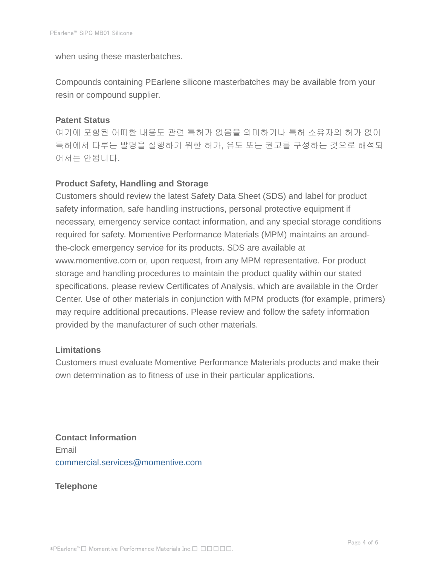when using these masterbatches.

Compounds containing PEarlene silicone masterbatches may be available from your resin or compound supplier.

# **Patent Status**

여기에 포함된 어떠한 내용도 관련 특허가 없음을 의미하거나 특허 소유자의 허가 없이 특허에서 다루는 발명을 실행하기 위한 허가, 유도 또는 권고를 구성하는 것으로 해석되 어서는 안됩니다.

# **Product Safety, Handling and Storage**

Customers should review the latest Safety Data Sheet (SDS) and label for product safety information, safe handling instructions, personal protective equipment if necessary, emergency service contact information, and any special storage conditions required for safety. Momentive Performance Materials (MPM) maintains an aroundthe-clock emergency service for its products. SDS are available at www.momentive.com or, upon request, from any MPM representative. For product storage and handling procedures to maintain the product quality within our stated specifications, please review Certificates of Analysis, which are available in the Order Center. Use of other materials in conjunction with MPM products (for example, primers) may require additional precautions. Please review and follow the safety information provided by the manufacturer of such other materials.

# **Limitations**

Customers must evaluate Momentive Performance Materials products and make their own determination as to fitness of use in their particular applications.

**Contact Information** Email commercial.services@momentive.com

**Telephone**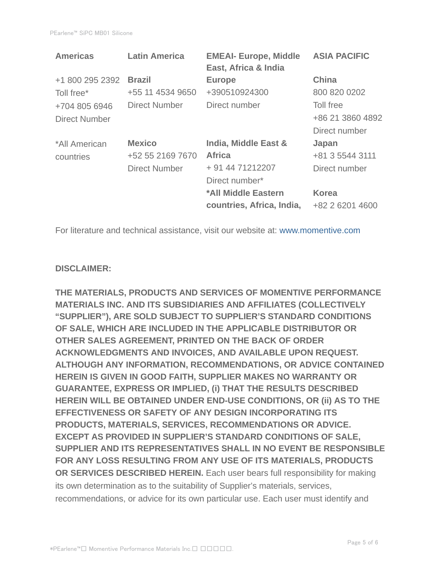| <b>Latin America</b> | <b>EMEAI- Europe, Middle</b><br>East, Africa & India | <b>ASIA PACIFIC</b> |
|----------------------|------------------------------------------------------|---------------------|
| <b>Brazil</b>        | <b>Europe</b>                                        | <b>China</b>        |
| +55 11 4534 9650     | +390510924300                                        | 800 820 0202        |
| <b>Direct Number</b> | Direct number                                        | Toll free           |
|                      |                                                      | +86 21 3860 4892    |
|                      |                                                      | Direct number       |
| <b>Mexico</b>        | India, Middle East &                                 | Japan               |
| +52 55 2169 7670     | <b>Africa</b>                                        | +81 3 5544 3111     |
| <b>Direct Number</b> | + 91 44 71212207                                     | Direct number       |
|                      | Direct number*                                       |                     |
|                      | *All Middle Eastern                                  | <b>Korea</b>        |
|                      | countries, Africa, India,                            | +82 2 6201 4600     |
|                      |                                                      |                     |

For literature and technical assistance, visit our website at: www.momentive.com

#### **DISCLAIMER:**

**THE MATERIALS, PRODUCTS AND SERVICES OF MOMENTIVE PERFORMANCE MATERIALS INC. AND ITS SUBSIDIARIES AND AFFILIATES (COLLECTIVELY "SUPPLIER"), ARE SOLD SUBJECT TO SUPPLIER'S STANDARD CONDITIONS OF SALE, WHICH ARE INCLUDED IN THE APPLICABLE DISTRIBUTOR OR OTHER SALES AGREEMENT, PRINTED ON THE BACK OF ORDER ACKNOWLEDGMENTS AND INVOICES, AND AVAILABLE UPON REQUEST. ALTHOUGH ANY INFORMATION, RECOMMENDATIONS, OR ADVICE CONTAINED HEREIN IS GIVEN IN GOOD FAITH, SUPPLIER MAKES NO WARRANTY OR GUARANTEE, EXPRESS OR IMPLIED, (i) THAT THE RESULTS DESCRIBED HEREIN WILL BE OBTAINED UNDER END-USE CONDITIONS, OR (ii) AS TO THE EFFECTIVENESS OR SAFETY OF ANY DESIGN INCORPORATING ITS PRODUCTS, MATERIALS, SERVICES, RECOMMENDATIONS OR ADVICE. EXCEPT AS PROVIDED IN SUPPLIER'S STANDARD CONDITIONS OF SALE, SUPPLIER AND ITS REPRESENTATIVES SHALL IN NO EVENT BE RESPONSIBLE FOR ANY LOSS RESULTING FROM ANY USE OF ITS MATERIALS, PRODUCTS OR SERVICES DESCRIBED HEREIN.** Each user bears full responsibility for making its own determination as to the suitability of Supplier's materials, services, recommendations, or advice for its own particular use. Each user must identify and